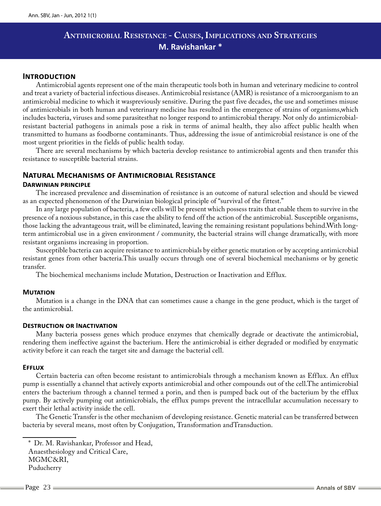# **Antimicrobial Resistance - Causes, Implications and Strategies M. Ravishankar \***

# **Introduction**

Antimicrobial agents represent one of the main therapeutic tools both in human and veterinary medicine to control and treat a variety of bacterial infectious diseases. Antimicrobial resistance (AMR) is resistance of a microorganism to an antimicrobial medicine to which it waspreviously sensitive. During the past five decades, the use and sometimes misuse of antimicrobials in both human and veterinary medicine has resulted in the emergence of strains of organisms,which includes bacteria, viruses and some parasitesthat no longer respond to antimicrobial therapy. Not only do antimicrobialresistant bacterial pathogens in animals pose a risk in terms of animal health, they also affect public health when transmitted to humans as foodborne contaminants. Thus, addressing the issue of antimicrobial resistance is one of the most urgent priorities in the fields of public health today.

There are several mechanisms by which bacteria develop resistance to antimicrobial agents and then transfer this resistance to susceptible bacterial strains.

# **Natural Mechanisms of Antimicrobial Resistance**

## **Darwinian principle**

The increased prevalence and dissemination of resistance is an outcome of natural selection and should be viewed as an expected phenomenon of the Darwinian biological principle of "survival of the fittest."

In any large population of bacteria, a few cells will be present which possess traits that enable them to survive in the presence of a noxious substance, in this case the ability to fend off the action of the antimicrobial. Susceptible organisms, those lacking the advantageous trait, will be eliminated, leaving the remaining resistant populations behind.With longterm antimicrobial use in a given environment / community, the bacterial strains will change dramatically, with more resistant organisms increasing in proportion.

Susceptible bacteria can acquire resistance to antimicrobials by either genetic mutation or by accepting antimicrobial resistant genes from other bacteria.This usually occurs through one of several biochemical mechanisms or by genetic transfer.

The biochemical mechanisms include Mutation, Destruction or Inactivation and Efflux.

## **Mutation**

Mutation is a change in the DNA that can sometimes cause a change in the gene product, which is the target of the antimicrobial.

## **Destruction or Inactivation**

Many bacteria possess genes which produce enzymes that chemically degrade or deactivate the antimicrobial, rendering them ineffective against the bacterium. Here the antimicrobial is either degraded or modified by enzymatic activity before it can reach the target site and damage the bacterial cell.

## **Efflux**

Certain bacteria can often become resistant to antimicrobials through a mechanism known as Efflux. An efflux pump is essentially a channel that actively exports antimicrobial and other compounds out of the cell.The antimicrobial enters the bacterium through a channel termed a porin, and then is pumped back out of the bacterium by the efflux pump. By actively pumping out antimicrobials, the efflux pumps prevent the intracellular accumulation necessary to exert their lethal activity inside the cell.

The Genetic Transfer is the other mechanism of developing resistance. Genetic material can be transferred between bacteria by several means, most often by Conjugation, Transformation andTransduction.

<sup>\*</sup> Dr. M. Ravishankar, Professor and Head, Anaesthesiology and Critical Care, MGMC&RI, Puducherry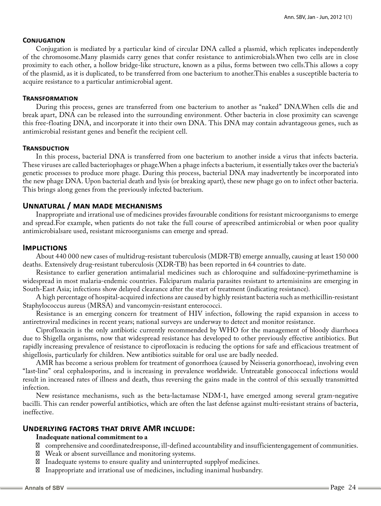## **Conjugation**

Conjugation is mediated by a particular kind of circular DNA called a plasmid, which replicates independently of the chromosome.Many plasmids carry genes that confer resistance to antimicrobials.When two cells are in close proximity to each other, a hollow bridge-like structure, known as a pilus, forms between two cells.This allows a copy of the plasmid, as it is duplicated, to be transferred from one bacterium to another.This enables a susceptible bacteria to acquire resistance to a particular antimicrobial agent.

### **Transformation**

During this process, genes are transferred from one bacterium to another as "naked" DNA.When cells die and break apart, DNA can be released into the surrounding environment. Other bacteria in close proximity can scavenge this free-floating DNA, and incorporate it into their own DNA. This DNA may contain advantageous genes, such as antimicrobial resistant genes and benefit the recipient cell.

#### **Transduction**

In this process, bacterial DNA is transferred from one bacterium to another inside a virus that infects bacteria. These viruses are called bacteriophages or phage.When a phage infects a bacterium, it essentially takes over the bacteria's genetic processes to produce more phage. During this process, bacterial DNA may inadvertently be incorporated into the new phage DNA. Upon bacterial death and lysis (or breaking apart), these new phage go on to infect other bacteria. This brings along genes from the previously infected bacterium.

## **Unnatural / man made mechanisms**

Inappropriate and irrational use of medicines provides favourable conditions for resistant microorganisms to emerge and spread.For example, when patients do not take the full course of aprescribed antimicrobial or when poor quality antimicrobialsare used, resistant microorganisms can emerge and spread.

## **Implictions**

About 440 000 new cases of multidrug-resistant tuberculosis (MDR-TB) emerge annually, causing at least 150 000 deaths. Extensively drug-resistant tuberculosis (XDR-TB) has been reported in 64 countries to date.

Resistance to earlier generation antimalarial medicines such as chloroquine and sulfadoxine-pyrimethamine is widespread in most malaria-endemic countries. Falciparum malaria parasites resistant to artemisinins are emerging in South-East Asia; infections show delayed clearance after the start of treatment (indicating resistance).

A high percentage of hospital-acquired infections are caused by highly resistant bacteria such as methicillin-resistant Staphylococcus aureus (MRSA) and vancomycin-resistant enterococci.

Resistance is an emerging concern for treatment of HIV infection, following the rapid expansion in access to antiretroviral medicines in recent years; national surveys are underway to detect and monitor resistance.

Ciprofloxacin is the only antibiotic currently recommended by WHO for the management of bloody diarrhoea due to Shigella organisms, now that widespread resistance has developed to other previously effective antibiotics. But rapidly increasing prevalence of resistance to ciprofloxacin is reducing the options for safe and efficacious treatment of shigellosis, particularly for children. New antibiotics suitable for oral use are badly needed.

AMR has become a serious problem for treatment of gonorrhoea (caused by Neisseria gonorrhoeae), involving even "last-line" oral cephalosporins, and is increasing in prevalence worldwide. Untreatable gonococcal infections would result in increased rates of illness and death, thus reversing the gains made in the control of this sexually transmitted infection.

New resistance mechanisms, such as the beta-lactamase NDM-1, have emerged among several gram-negative bacilli. This can render powerful antibiotics, which are often the last defense against multi-resistant strains of bacteria, ineffective.

## **Underlying factors that drive AMR include:**

#### **Inadequate national commitment to a**

comprehensive and coordinatedresponse, ill-defined accountability and insufficientengagement of communities. Weak or absent surveillance and monitoring systems.

Inadequate systems to ensure quality and uninterrupted supplyof medicines.

Inappropriate and irrational use of medicines, including inanimal husbandry.